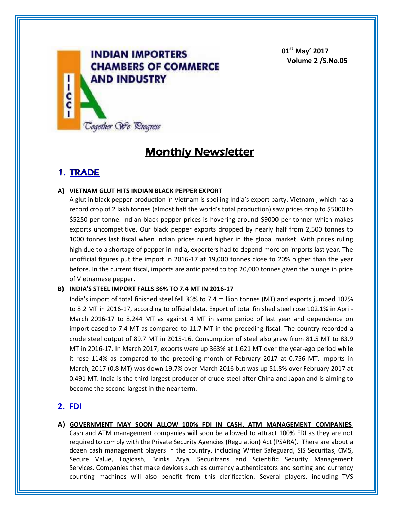

**01st May' 2017 Volume 2 /S.No.05**

# **Monthly Newsletter**

## **1. TRADE**

### **A) VIETNAM GLUT HITS INDIAN BLACK PEPPER EXPORT**

A glut in black pepper production in Vietnam is spoiling India's export party. Vietnam , which has a record crop of 2 lakh tonnes (almost half the world's total production) saw prices drop to \$5000 to \$5250 per tonne. Indian black pepper prices is hovering around \$9000 per tonner which makes exports uncompetitive. Our black pepper exports dropped by nearly half from 2,500 tonnes to 1000 tonnes last fiscal when Indian prices ruled higher in the global market. With prices ruling high due to a shortage of pepper in India, exporters had to depend more on imports last year. The unofficial figures put the import in 2016-17 at 19,000 tonnes close to 20% higher than the year before. In the current fiscal, imports are anticipated to top 20,000 tonnes given the plunge in price of Vietnamese pepper.

#### **B) INDIA'S STEEL IMPORT FALLS 36% TO 7.4 MT IN 2016-17**

India's import of total finished steel fell 36% to 7.4 million tonnes (MT) and exports jumped 102% to 8.2 MT in 2016-17, according to official data. Export of total finished steel rose 102.1% in April-March 2016-17 to 8.244 MT as against 4 MT in same period of last year and dependence on import eased to 7.4 MT as compared to 11.7 MT in the preceding fiscal. The country recorded a crude steel output of 89.7 MT in 2015-16. Consumption of steel also grew from 81.5 MT to 83.9 MT in 2016-17. In March 2017, exports were up 363% at 1.621 MT over the year-ago period while it rose 114% as compared to the preceding month of February 2017 at 0.756 MT. Imports in March, 2017 (0.8 MT) was down 19.7% over March 2016 but was up 51.8% over February 2017 at 0.491 MT. India is the third largest producer of crude steel after China and Japan and is aiming to become the second largest in the near term.

## **2. FDI**

**A) GOVERNMENT MAY SOON ALLOW 100% FDI IN CASH, ATM MANAGEMENT COMPANIES** Cash and ATM management companies will soon be allowed to attract 100% FDI as they are not required to comply with the Private Security Agencies (Regulation) Act (PSARA). There are about a dozen cash management players in the country, including Writer Safeguard, SIS Securitas, CMS, Secure Value, Logicash, Brinks Arya, Securitrans and Scientific Security Management Services. Companies that make devices such as currency authenticators and sorting and currency counting machines will also benefit from this clarification. Several players, including TVS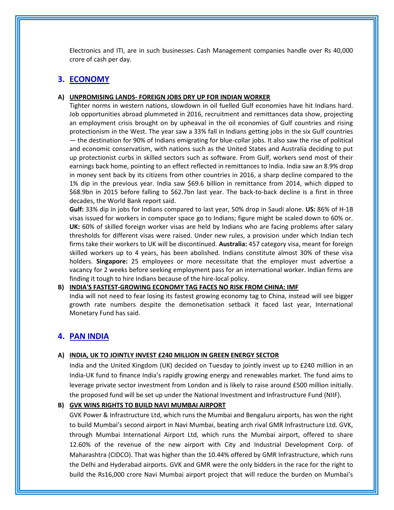Electronics and ITI, are in such businesses. Cash Management companies handle over Rs 40,000 crore of cash per day.

## **3. ECONOMY**

#### **A) UNPROMISING LANDS- FOREIGN JOBS DRY UP FOR INDIAN WORKER**

Tighter norms in western nations, slowdown in oil fuelled Gulf economies have hit Indians hard. Job opportunities abroad plummeted in 2016, recruitment and remittances data show, projecting an employment crisis brought on by upheaval in the oil economies of Gulf countries and rising protectionism in the West. The year saw a 33% fall in Indians getting jobs in the six Gulf countries — the destination for 90% of Indians emigrating for blue-collar jobs. It also saw the rise of political and economic conservatism, with nations such as the United States and Australia deciding to put up protectionist curbs in skilled sectors such as software. From Gulf, workers send most of their earnings back home, pointing to an effect reflected in remittances to India. India saw an 8.9% drop in money sent back by its citizens from other countries in 2016, a sharp decline compared to the 1% dip in the previous year. India saw \$69.6 billion in remittance from 2014, which dipped to \$68.9bn in 2015 before falling to \$62.7bn last year. The back-to-back decline is a first in three decades, the World Bank report said.

**Gulf:** 33% dip in jobs for Indians compared to last year, 50% drop in Saudi alone. **US:** 86% of H-1B visas issued for workers in computer space go to Indians; figure might be scaled down to 60% or. **UK:** 60% of skilled foreign worker visas are held by Indians who are facing problems after salary thresholds for different visas were raised. Under new rules, a provision under which Indian tech firms take their workers to UK will be discontinued. **Australia:** 457 category visa, meant for foreign skilled workers up to 4 years, has been abolished. Indians constitute almost 30% of these visa holders. **Singapore:** 25 employees or more necessitate that the employer must advertise a vacancy for 2 weeks before seeking employment pass for an international worker. Indian firms are finding it tough to hire Indians because of the hire-local policy.

#### **B) INDIA'S FASTEST-GROWING ECONOMY TAG FACES NO RISK FROM CHINA: IMF**

India will not need to fear losing its fastest growing economy tag to China, instead will see bigger growth rate numbers despite the demonetisation setback it faced last year, International Monetary Fund has said.

#### **4. PAN INDIA**

#### **A) INDIA, UK TO JOINTLY INVEST £240 MILLION IN GREEN ENERGY SECTOR**

India and the United Kingdom (UK) decided on Tuesday to jointly invest up to £240 million in an India-UK fund to finance India's rapidly growing energy and renewables market. The fund aims to leverage private sector investment from London and is likely to raise around £500 million initially. the proposed fund will be set up under the National Investment and Infrastructure Fund (NIIF).

#### **B) GVK WINS RIGHTS TO BUILD NAVI MUMBAI AIRPORT**

GVK Power & Infrastructure Ltd, which runs the Mumbai and Bengaluru airports, has won the right to build Mumbai's second airport in Navi Mumbai, beating arch rival GMR Infrastructure Ltd. GVK, through Mumbai International Airport Ltd, which runs the Mumbai airport, offered to share 12.60% of the revenue of the new airport with City and Industrial Development Corp. of Maharashtra (CIDCO). That was higher than the 10.44% offered by GMR Infrastructure, which runs the Delhi and Hyderabad airports. GVK and GMR were the only bidders in the race for the right to build the Rs16,000 crore Navi Mumbai airport project that will reduce the burden on Mumbai's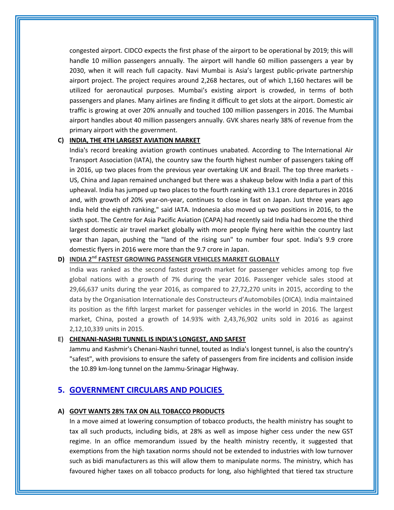congested airport. CIDCO expects the first phase of the airport to be operational by 2019; this will handle 10 million passengers annually. The airport will handle 60 million passengers a year by 2030, when it will reach full capacity. Navi Mumbai is Asia's largest public-private partnership airport project. The project requires around 2,268 hectares, out of which 1,160 hectares will be utilized for aeronautical purposes. Mumbai's existing airport is crowded, in terms of both passengers and planes. Many airlines are finding it difficult to get slots at the airport. Domestic air traffic is growing at over 20% annually and touched 100 million passengers in 2016. The Mumbai airport handles about 40 million passengers annually. GVK shares nearly 38% of revenue from the primary airport with the government.

#### **C) INDIA, THE 4TH LARGEST AVIATION MARKET**

India's record breaking aviation growth continues unabated. According to The International Air Transport Association (IATA), the country saw the fourth highest number of passengers taking off in 2016, up two places from the previous year overtaking UK and Brazil. The top three markets - US, China and Japan remained unchanged but there was a shakeup below with India a part of this upheaval. India has jumped up two places to the fourth ranking with 13.1 crore departures in 2016 and, with growth of 20% year-on-year, continues to close in fast on Japan. Just three years ago India held the eighth ranking," said IATA. Indonesia also moved up two positions in 2016, to the sixth spot. The Centre for Asia Pacific Aviation (CAPA) had recently said India had become the third largest domestic air travel market globally with more people flying here within the country last year than Japan, pushing the "land of the rising sun" to number four spot. India's 9.9 crore domestic flyers in 2016 were more than the 9.7 crore in Japan.

#### **D) INDIA 2nd FASTEST GROWING PASSENGER VEHICLES MARKET GLOBALLY**

India was ranked as the second fastest growth market for passenger vehicles among top five global nations with a growth of 7% during the year 2016. Passenger vehicle sales stood at 29,66,637 units during the year 2016, as compared to 27,72,270 units in 2015, according to the data by the Organisation Internationale des Constructeurs d'Automobiles (OICA). India maintained its position as the fifth largest market for passenger vehicles in the world in 2016. The largest market, China, posted a growth of 14.93% with 2,43,76,902 units sold in 2016 as against 2,12,10,339 units in 2015.

#### **E) CHENANI-NASHRI TUNNEL IS INDIA'S LONGEST, AND SAFEST**

Jammu and Kashmir's Chenani-Nashri tunnel, touted as India's longest tunnel, is also the country's "safest", with provisions to ensure the safety of passengers from fire incidents and collision inside the 10.89 km-long tunnel on the Jammu-Srinagar Highway.

## **5. GOVERNMENT CIRCULARS AND POLICIES**

#### **A) GOVT WANTS 28% TAX ON ALL TOBACCO PRODUCTS**

In a move aimed at lowering consumption of tobacco products, the health ministry has sought to tax all such products, including bidis, at 28% as well as impose higher cess under the new GST regime. In an office memorandum issued by the health ministry recently, it suggested that exemptions from the high taxation norms should not be extended to industries with low turnover such as bidi manufacturers as this will allow them to manipulate norms. The ministry, which has favoured higher taxes on all tobacco products for long, also highlighted that tiered tax structure